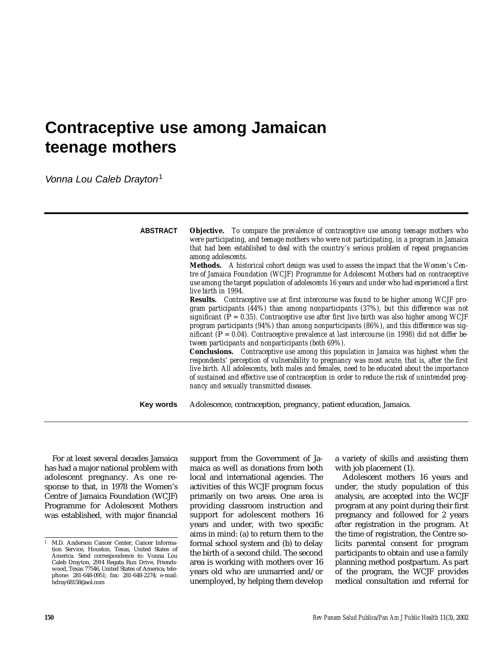# **Contraceptive use among Jamaican teenage mothers**

Vonna Lou Caleb Drayton<sup>1</sup>

| <b>ABSTRACT</b> | <b>Objective.</b> To compare the prevalence of contraceptive use among teenage mothers who<br>were participating, and teenage mothers who were not participating, in a program in Jamaica<br>that had been established to deal with the country's serious problem of repeat pregnancies<br>among adolescents.<br><b>Methods.</b> A historical cohort design was used to assess the impact that the Women's Cen-<br>tre of Jamaica Foundation (WCJF) Programme for Adolescent Mothers had on contraceptive<br>use among the target population of adolescents 16 years and under who had experienced a first<br>live birth in 1994.<br>Results. Contraceptive use at first intercourse was found to be higher among WCJF pro-<br>gram participants (44%) than among nonparticipants (37%), but this difference was not<br>significant ( $P = 0.35$ ). Contraceptive use after first live birth was also higher among WCJF<br>program participants $(94%)$ than among nonparticipants $(86%)$ , and this difference was sig-<br>nificant ( $P = 0.04$ ). Contraceptive prevalence at last intercourse (in 1998) did not differ be-<br>tween participants and nonparticipants (both 69%).<br>Conclusions. Contraceptive use among this population in Jamaica was highest when the<br>respondents' perception of vulnerability to pregnancy was most acute, that is, after the first<br>live birth. All adolescents, both males and females, need to be educated about the importance<br>of sustained and effective use of contraception in order to reduce the risk of unintended preg-<br>nancy and sexually transmitted diseases. |
|-----------------|---------------------------------------------------------------------------------------------------------------------------------------------------------------------------------------------------------------------------------------------------------------------------------------------------------------------------------------------------------------------------------------------------------------------------------------------------------------------------------------------------------------------------------------------------------------------------------------------------------------------------------------------------------------------------------------------------------------------------------------------------------------------------------------------------------------------------------------------------------------------------------------------------------------------------------------------------------------------------------------------------------------------------------------------------------------------------------------------------------------------------------------------------------------------------------------------------------------------------------------------------------------------------------------------------------------------------------------------------------------------------------------------------------------------------------------------------------------------------------------------------------------------------------------------------------------------------------------------------------------------------------|
| Key words       | Adolescence, contraception, pregnancy, patient education, Jamaica.                                                                                                                                                                                                                                                                                                                                                                                                                                                                                                                                                                                                                                                                                                                                                                                                                                                                                                                                                                                                                                                                                                                                                                                                                                                                                                                                                                                                                                                                                                                                                              |

For at least several decades Jamaica has had a major national problem with adolescent pregnancy. As one response to that, in 1978 the Women's Centre of Jamaica Foundation (WCJF) Programme for Adolescent Mothers was established, with major financial

support from the Government of Jamaica as well as donations from both local and international agencies. The activities of this WCJF program focus primarily on two areas. One area is providing classroom instruction and support for adolescent mothers 16 years and under, with two specific aims in mind: (a) to return them to the formal school system and (b) to delay the birth of a second child. The second area is working with mothers over 16 years old who are unmarried and/or unemployed, by helping them develop

a variety of skills and assisting them with job placement (1).

Adolescent mothers 16 years and under, the study population of this analysis, are accepted into the WCJF program at any point during their first pregnancy and followed for 2 years after registration in the program. At the time of registration, the Centre solicits parental consent for program participants to obtain and use a family planning method postpartum. As part of the program, the WCJF provides medical consultation and referral for

<sup>1</sup> M.D. Anderson Cancer Center, Cancer Information Service, Houston, Texas, United States of America. Send correspondence to: Vonna Lou Caleb Drayton, 2914 Regata Run Drive, Friendswood, Texas 77546, United States of America; telephone: 281-648-0951; fax: 281-648-2274; e-mail: hdray68158@aol.com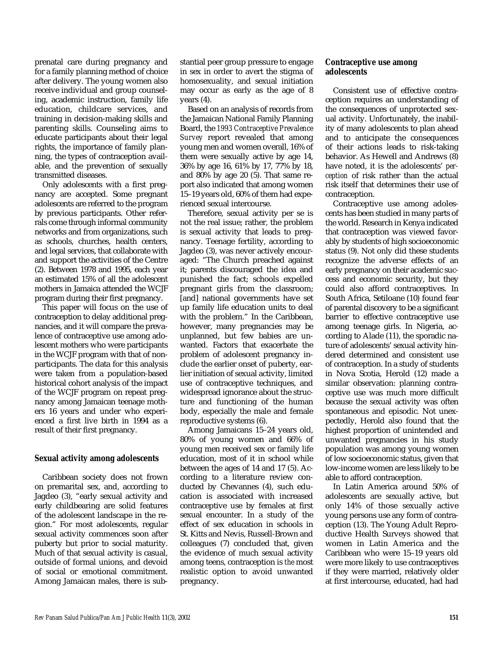prenatal care during pregnancy and for a family planning method of choice after delivery. The young women also receive individual and group counseling, academic instruction, family life education, childcare services, and training in decision-making skills and parenting skills. Counseling aims to educate participants about their legal rights, the importance of family planning, the types of contraception available, and the prevention of sexually transmitted diseases.

Only adolescents with a first pregnancy are accepted. Some pregnant adolescents are referred to the program by previous participants. Other referrals come through informal community networks and from organizations, such as schools, churches, health centers, and legal services, that collaborate with and support the activities of the Centre (2). Between 1978 and 1995, each year an estimated 15% of all the adolescent mothers in Jamaica attended the WCJF program during their first pregnancy.

This paper will focus on the use of contraception to delay additional pregnancies, and it will compare the prevalence of contraceptive use among adolescent mothers who were participants in the WCJF program with that of nonparticipants. The data for this analysis were taken from a population-based historical cohort analysis of the impact of the WCJF program on repeat pregnancy among Jamaican teenage mothers 16 years and under who experienced a first live birth in 1994 as a result of their first pregnancy.

#### **Sexual activity among adolescents**

Caribbean society does not frown on premarital sex, and, according to Jagdeo (3), "early sexual activity and early childbearing are solid features of the adolescent landscape in the region." For most adolescents, regular sexual activity commences soon after puberty but prior to social maturity. Much of that sexual activity is casual, outside of formal unions, and devoid of social or emotional commitment. Among Jamaican males, there is substantial peer group pressure to engage in sex in order to avert the stigma of homosexuality, and sexual initiation may occur as early as the age of 8 years (4).

Based on an analysis of records from the Jamaican National Family Planning Board, the *1993 Contraceptive Prevalence Survey* report revealed that among young men and women overall, 16% of them were sexually active by age 14, 36% by age 16, 61% by 17, 77% by 18, and 80% by age 20 (5). That same report also indicated that among women 15–19 years old, 60% of them had experienced sexual intercourse.

Therefore, sexual activity per se is not the real issue; rather, the problem is sexual activity that leads to pregnancy. Teenage fertility, according to Jagdeo (3), was never actively encouraged: "The Church preached against it; parents discouraged the idea and punished the fact; schools expelled pregnant girls from the classroom; [and] national governments have set up family life education units to deal with the problem." In the Caribbean, however, many pregnancies may be unplanned, but few babies are unwanted. Factors that exacerbate the problem of adolescent pregnancy include the earlier onset of puberty, earlier initiation of sexual activity, limited use of contraceptive techniques, and widespread ignorance about the structure and functioning of the human body, especially the male and female reproductive systems (6).

Among Jamaicans 15–24 years old, 80% of young women and 66% of young men received sex or family life education, most of it in school while between the ages of 14 and 17 (5). According to a literature review conducted by Chevannes (4), such education is associated with increased contraceptive use by females at first sexual encounter. In a study of the effect of sex education in schools in St. Kitts and Nevis, Russell-Brown and colleagues (7) concluded that, given the evidence of much sexual activity among teens, contraception is *the* most realistic option to avoid unwanted pregnancy.

## **Contraceptive use among adolescents**

Consistent use of effective contraception requires an understanding of the consequences of unprotected sexual activity. Unfortunately, the inability of many adolescents to plan ahead and to anticipate the consequences of their actions leads to risk-taking behavior. As Hewell and Andrews (8) have noted, it is the adolescents' *perception* of risk rather than the actual risk itself that determines their use of contraception.

Contraceptive use among adolescents has been studied in many parts of the world. Research in Kenya indicated that contraception was viewed favorably by students of high socioeconomic status (9). Not only did these students recognize the adverse effects of an early pregnancy on their academic success and economic security, but they could also afford contraceptives. In South Africa, Setiloane (10) found fear of parental discovery to be a significant barrier to effective contraceptive use among teenage girls. In Nigeria, according to Alade (11), the sporadic nature of adolescents' sexual activity hindered determined and consistent use of contraception. In a study of students in Nova Scotia, Herold (12) made a similar observation: planning contraceptive use was much more difficult because the sexual activity was often spontaneous and episodic. Not unexpectedly, Herold also found that the highest proportion of unintended and unwanted pregnancies in his study population was among young women of low socioeconomic status, given that low-income women are less likely to be able to afford contraception.

In Latin America around 50% of adolescents are sexually active, but only 14% of those sexually active young persons use any form of contraception (13). The Young Adult Reproductive Health Surveys showed that women in Latin America and the Caribbean who were 15–19 years old were more likely to use contraceptives if they were married, relatively older at first intercourse, educated, had had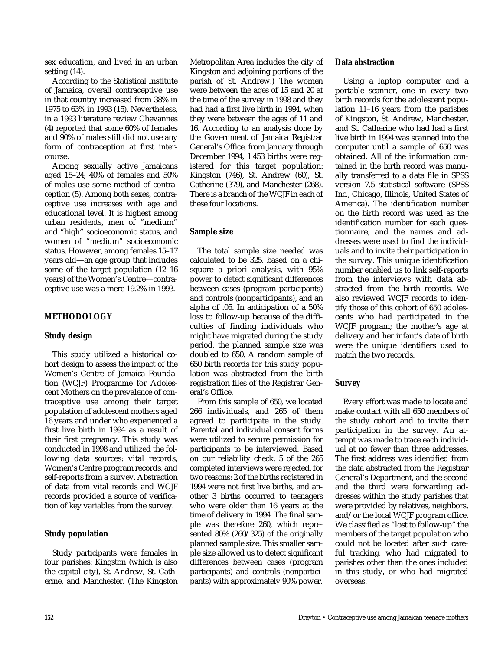sex education, and lived in an urban setting (14).

According to the Statistical Institute of Jamaica, overall contraceptive use in that country increased from 38% in 1975 to 63% in 1993 (15). Nevertheless, in a 1993 literature review Chevannes (4) reported that some 60% of females and 90% of males still did not use any form of contraception at first intercourse.

Among sexually active Jamaicans aged 15–24, 40% of females and 50% of males use some method of contraception (5). Among both sexes, contraceptive use increases with age and educational level. It is highest among urban residents, men of "medium" and "high" socioeconomic status, and women of "medium" socioeconomic status. However, among females 15–17 years old—an age group that includes some of the target population (12–16 years) of the Women's Centre—contraceptive use was a mere 19.2% in 1993.

## **METHODOLOGY**

## **Study design**

This study utilized a historical cohort design to assess the impact of the Women's Centre of Jamaica Foundation (WCJF) Programme for Adolescent Mothers on the prevalence of contraceptive use among their target population of adolescent mothers aged 16 years and under who experienced a first live birth in 1994 as a result of their first pregnancy. This study was conducted in 1998 and utilized the following data sources: vital records, Women's Centre program records, and self-reports from a survey. Abstraction of data from vital records and WCJF records provided a source of verification of key variables from the survey.

## **Study population**

Study participants were females in four parishes: Kingston (which is also the capital city), St. Andrew, St. Catherine, and Manchester. (The Kingston Metropolitan Area includes the city of Kingston and adjoining portions of the parish of St. Andrew.) The women were between the ages of 15 and 20 at the time of the survey in 1998 and they had had a first live birth in 1994, when they were between the ages of 11 and 16. According to an analysis done by the Government of Jamaica Registrar General's Office, from January through December 1994, 1 453 births were registered for this target population: Kingston (746), St. Andrew (60), St. Catherine (379), and Manchester (268). There is a branch of the WCJF in each of these four locations.

#### **Sample size**

The total sample size needed was calculated to be 325, based on a chisquare a priori analysis, with 95% power to detect significant differences between cases (program participants) and controls (nonparticipants), and an alpha of .05. In anticipation of a 50% loss to follow-up because of the difficulties of finding individuals who might have migrated during the study period, the planned sample size was doubled to 650. A random sample of 650 birth records for this study population was abstracted from the birth registration files of the Registrar General's Office.

From this sample of 650, we located 266 individuals, and 265 of them agreed to participate in the study. Parental and individual consent forms were utilized to secure permission for participants to be interviewed. Based on our reliability check, 5 of the 265 completed interviews were rejected, for two reasons: 2 of the births registered in 1994 were not first live births, and another 3 births occurred to teenagers who were older than 16 years at the time of delivery in 1994. The final sample was therefore 260, which represented 80% (260/325) of the originally planned sample size. This smaller sample size allowed us to detect significant differences between cases (program participants) and controls (nonparticipants) with approximately 90% power.

#### **Data abstraction**

Using a laptop computer and a portable scanner, one in every two birth records for the adolescent population 11–16 years from the parishes of Kingston, St. Andrew, Manchester, and St. Catherine who had had a first live birth in 1994 was scanned into the computer until a sample of 650 was obtained. All of the information contained in the birth record was manually transferred to a data file in SPSS version 7.5 statistical software (SPSS Inc., Chicago, Illinois, United States of America). The identification number on the birth record was used as the identification number for each questionnaire, and the names and addresses were used to find the individuals and to invite their participation in the survey. This unique identification number enabled us to link self-reports from the interviews with data abstracted from the birth records. We also reviewed WCJF records to identify those of this cohort of 650 adolescents who had participated in the WCJF program; the mother's age at delivery and her infant's date of birth were the unique identifiers used to match the two records.

#### **Survey**

Every effort was made to locate and make contact with all 650 members of the study cohort and to invite their participation in the survey. An attempt was made to trace each individual at no fewer than three addresses. The first address was identified from the data abstracted from the Registrar General's Department, and the second and the third were forwarding addresses within the study parishes that were provided by relatives, neighbors, and/or the local WCJF program office. We classified as "lost to follow-up" the members of the target population who could not be located after such careful tracking, who had migrated to parishes other than the ones included in this study, or who had migrated overseas.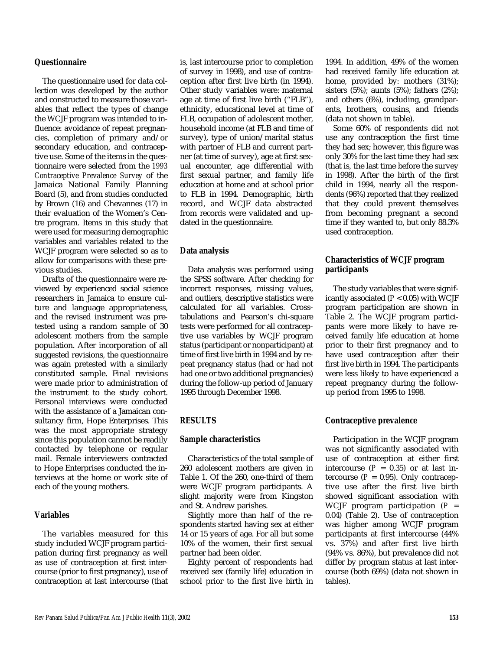#### **Questionnaire**

The questionnaire used for data collection was developed by the author and constructed to measure those variables that reflect the types of change the WCJF program was intended to influence: avoidance of repeat pregnancies, completion of primary and/or secondary education, and contraceptive use. Some of the items in the questionnaire were selected from the *1993 Contraceptive Prevalence Survey* of the Jamaica National Family Planning Board (5), and from studies conducted by Brown (16) and Chevannes (17) in their evaluation of the Women's Centre program. Items in this study that were used for measuring demographic variables and variables related to the WCJF program were selected so as to allow for comparisons with these previous studies.

Drafts of the questionnaire were reviewed by experienced social science researchers in Jamaica to ensure culture and language appropriateness, and the revised instrument was pretested using a random sample of 30 adolescent mothers from the sample population. After incorporation of all suggested revisions, the questionnaire was again pretested with a similarly constituted sample. Final revisions were made prior to administration of the instrument to the study cohort. Personal interviews were conducted with the assistance of a Jamaican consultancy firm, Hope Enterprises. This was the most appropriate strategy since this population cannot be readily contacted by telephone or regular mail. Female interviewers contracted to Hope Enterprises conducted the interviews at the home or work site of each of the young mothers.

## **Variables**

The variables measured for this study included WCJF program participation during first pregnancy as well as use of contraception at first intercourse (prior to first pregnancy), use of contraception at last intercourse (that is, last intercourse prior to completion of survey in 1998), and use of contraception after first live birth (in 1994). Other study variables were: maternal age at time of first live birth ("FLB"), ethnicity, educational level at time of FLB, occupation of adolescent mother, household income (at FLB and time of survey), type of union/marital status with partner of FLB and current partner (at time of survey), age at first sexual encounter, age differential with first sexual partner, and family life education at home and at school prior to FLB in 1994. Demographic, birth record, and WCJF data abstracted from records were validated and updated in the questionnaire.

#### **Data analysis**

Data analysis was performed using the SPSS software. After checking for incorrect responses, missing values, and outliers, descriptive statistics were calculated for all variables. Crosstabulations and Pearson's chi-square tests were performed for all contraceptive use variables by WCJF program status (participant or nonparticipant) at time of first live birth in 1994 and by repeat pregnancy status (had or had not had one or two additional pregnancies) during the follow-up period of January 1995 through December 1998.

## **RESULTS**

#### **Sample characteristics**

Characteristics of the total sample of 260 adolescent mothers are given in Table 1. Of the 260, one-third of them were WCJF program participants. A slight majority were from Kingston and St. Andrew parishes.

Slightly more than half of the respondents started having sex at either 14 or 15 years of age. For all but some 10% of the women, their first sexual partner had been older.

Eighty percent of respondents had received sex (family life) education in school prior to the first live birth in 1994. In addition, 49% of the women had received family life education at home, provided by: mothers (31%); sisters (5%); aunts (5%); fathers (2%); and others (6%), including, grandparents, brothers, cousins, and friends (data not shown in table).

Some 60% of respondents did not use any contraception the first time they had sex; however, this figure was only 30% for the last time they had sex (that is, the last time before the survey in 1998). After the birth of the first child in 1994, nearly all the respondents (96%) reported that they realized that they could prevent themselves from becoming pregnant a second time if they wanted to, but only 88.3% used contraception.

## **Characteristics of WCJF program participants**

The study variables that were significantly associated (*P* < 0.05) with WCJF program participation are shown in Table 2. The WCJF program participants were more likely to have received family life education at home prior to their first pregnancy and to have used contraception after their first live birth in 1994. The participants were less likely to have experienced a repeat pregnancy during the followup period from 1995 to 1998.

#### **Contraceptive prevalence**

Participation in the WCJF program was not significantly associated with use of contraception at either first intercourse  $(P = 0.35)$  or at last intercourse  $(P = 0.95)$ . Only contraceptive use after the first live birth showed significant association with WCJF program participation  $(P =$ 0.04) (Table 2). Use of contraception was higher among WCJF program participants at first intercourse (44% vs. 37%) and after first live birth (94% vs. 86%), but prevalence did not differ by program status at last intercourse (both 69%) (data not shown in tables).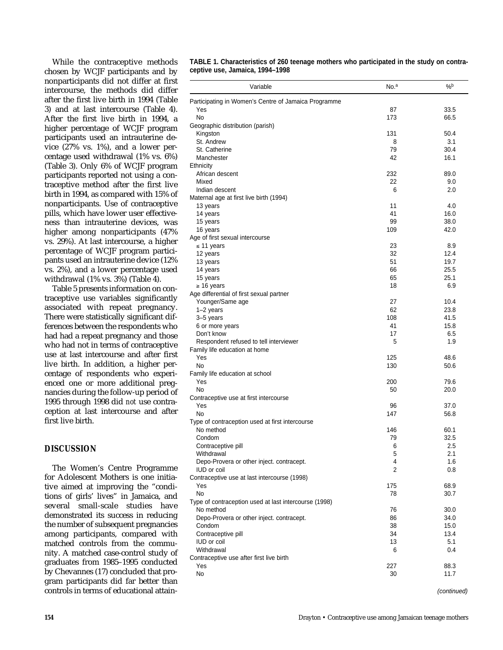While the contraceptive methods chosen by WCJF participants and by nonparticipants did not differ at first intercourse, the methods did differ after the first live birth in 1994 (Table 3) and at last intercourse (Table 4). After the first live birth in 1994, a higher percentage of WCJF program participants used an intrauterine device (27% vs. 1%), and a lower percentage used withdrawal (1% vs. 6%) (Table 3). Only 6% of WCJF program participants reported not using a contraceptive method after the first live birth in 1994, as compared with 15% of nonparticipants. Use of contraceptive pills, which have lower user effectiveness than intrauterine devices, was higher among nonparticipants (47% vs. 29%). At last intercourse, a higher percentage of WCJF program participants used an intrauterine device (12% vs. 2%), and a lower percentage used withdrawal (1% vs. 3%) (Table 4).

Table 5 presents information on contraceptive use variables significantly associated with repeat pregnancy. There were statistically significant differences between the respondents who had had a repeat pregnancy and those who had not in terms of contraceptive use at last intercourse and after first live birth. In addition, a higher percentage of respondents who experienced one or more additional pregnancies during the follow-up period of 1995 through 1998 did *not* use contraception at last intercourse and after first live birth.

## **DISCUSSION**

The Women's Centre Programme for Adolescent Mothers is one initiative aimed at improving the "conditions of girls' lives" in Jamaica, and several small-scale studies have demonstrated its success in reducing the number of subsequent pregnancies among participants, compared with matched controls from the community. A matched case-control study of graduates from 1985–1995 conducted by Chevannes (17) concluded that program participants did far better than controls in terms of educational attain-

**TABLE 1. Characteristics of 260 teenage mothers who participated in the study on contraceptive use, Jamaica, 1994–1998** 

| Variable                                                        | No. <sup>a</sup> | %b           |
|-----------------------------------------------------------------|------------------|--------------|
| Participating in Women's Centre of Jamaica Programme            |                  |              |
| Yes                                                             | 87               | 33.5         |
| No                                                              | 173              | 66.5         |
| Geographic distribution (parish)                                |                  |              |
| Kingston                                                        | 131              | 50.4         |
| St. Andrew<br>St. Catherine                                     | 8<br>79          | 3.1<br>30.4  |
| Manchester                                                      | 42               | 16.1         |
| Ethnicity                                                       |                  |              |
| African descent                                                 | 232              | 89.0         |
| Mixed                                                           | 22               | 9.0          |
| Indian descent                                                  | 6                | 2.0          |
| Maternal age at first live birth (1994)                         |                  |              |
| 13 years                                                        | 11               | 4.0          |
| 14 years                                                        | 41               | 16.0         |
| 15 years                                                        | 99               | 38.0         |
| 16 years                                                        | 109              | 42.0         |
| Age of first sexual intercourse                                 |                  |              |
| $\leq$ 11 years                                                 | 23               | 8.9          |
| 12 years<br>13 years                                            | 32<br>51         | 12.4<br>19.7 |
| 14 years                                                        | 66               | 25.5         |
| 15 years                                                        | 65               | 25.1         |
| $\geq 16$ years                                                 | 18               | 6.9          |
| Age differential of first sexual partner                        |                  |              |
| Younger/Same age                                                | 27               | 10.4         |
| $1-2$ years                                                     | 62               | 23.8         |
| 3-5 years                                                       | 108              | 41.5         |
| 6 or more years                                                 | 41               | 15.8         |
| Don't know                                                      | 17               | 6.5          |
| Respondent refused to tell interviewer                          | 5                | 1.9          |
| Family life education at home                                   |                  |              |
| Yes<br>No                                                       | 125<br>130       | 48.6<br>50.6 |
| Family life education at school                                 |                  |              |
| Yes                                                             | 200              | 79.6         |
| No.                                                             | 50               | 20.0         |
| Contraceptive use at first intercourse                          |                  |              |
| Yes                                                             | 96               | 37.0         |
| No                                                              | 147              | 56.8         |
| Type of contraception used at first intercourse                 |                  |              |
| No method                                                       | 146              | 60.1         |
| Condom                                                          | 79               | 32.5         |
| Contraceptive pill                                              | 6                | 2.5          |
| Withdrawal                                                      | 5<br>4           | 2.1          |
| Depo-Provera or other inject. contracept.<br><b>IUD</b> or coil | $\overline{2}$   | 1.6<br>0.8   |
| Contraceptive use at last intercourse (1998)                    |                  |              |
| Yes                                                             | 175              | 68.9         |
| No                                                              | 78               | 30.7         |
| Type of contraception used at last intercourse (1998)           |                  |              |
| No method                                                       | 76               | 30.0         |
| Depo-Provera or other inject. contracept.                       | 86               | 34.0         |
| Condom                                                          | 38               | 15.0         |
| Contraceptive pill                                              | 34               | 13.4         |
| <b>IUD</b> or coil                                              | 13               | 5.1          |
| Withdrawal                                                      | 6                | 0.4          |
| Contraceptive use after first live birth                        |                  |              |
| Yes<br>No                                                       | 227<br>30        | 88.3<br>11.7 |
|                                                                 |                  |              |
|                                                                 |                  |              |

(continued)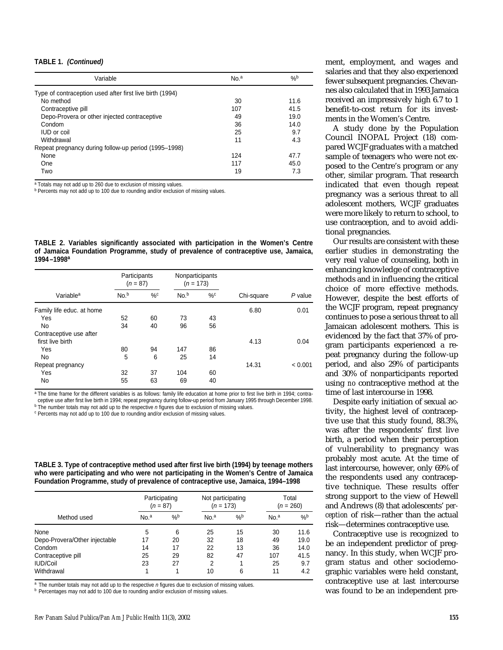#### **TABLE 1. (Continued)**

| Variable                                                 | No. <sup>a</sup> | $\%$ |
|----------------------------------------------------------|------------------|------|
| Type of contraception used after first live birth (1994) |                  |      |
| No method                                                | 30               | 11.6 |
| Contraceptive pill                                       | 107              | 41.5 |
| Depo-Provera or other injected contraceptive             | 49               | 19.0 |
| Condom                                                   | 36               | 14.0 |
| <b>IUD</b> or coil                                       | 25               | 9.7  |
| Withdrawal                                               | 11               | 4.3  |
| Repeat pregnancy during follow-up period (1995–1998)     |                  |      |
| None                                                     | 124              | 47.7 |
| One                                                      | 117              | 45.0 |
| Two                                                      | 19               | 7.3  |

a Totals may not add up to 260 due to exclusion of missing values.

b Percents may not add up to 100 due to rounding and/or exclusion of missing values.

**TABLE 2. Variables significantly associated with participation in the Women's Centre of Jamaica Foundation Programme, study of prevalence of contraceptive use, Jamaica, 1994–1998a**

|                           | Participants<br>$(n = 87)$ |    | Nonparticipants<br>$(n = 173)$ |       |            |           |
|---------------------------|----------------------------|----|--------------------------------|-------|------------|-----------|
| Variable <sup>a</sup>     | No. <sup>b</sup>           | %c | No. <sup>b</sup>               | $\%c$ | Chi-square | $P$ value |
| Family life educ. at home |                            |    |                                |       | 6.80       | 0.01      |
| Yes                       | 52                         | 60 | 73                             | 43    |            |           |
| No                        | 34                         | 40 | 96                             | 56    |            |           |
| Contraceptive use after   |                            |    |                                |       |            |           |
| first live birth          |                            |    |                                |       | 4.13       | 0.04      |
| Yes                       | 80                         | 94 | 147                            | 86    |            |           |
| No                        | 5                          | 6  | 25                             | 14    |            |           |
| Repeat pregnancy          |                            |    |                                |       | 14.31      | < 0.001   |
| Yes                       | 32                         | 37 | 104                            | 60    |            |           |
| No                        | 55                         | 63 | 69                             | 40    |            |           |

a The time frame for the different variables is as follows: family life education at home prior to first live birth in 1994; contraceptive use after first live birth in 1994; repeat pregnancy during follow-up period from January 1995 through December 1998.

 $\text{p}$  The number totals may not add up to the respective *n* figures due to exclusion of missing values.  $\text{p}$  Percents may not add up to 100 due to rounding and/or exclusion of missing values.

| TABLE 3. Type of contraceptive method used after first live birth (1994) by teenage mothers |
|---------------------------------------------------------------------------------------------|
| who were participating and who were not participating in the Women's Centre of Jamaica      |
| Foundation Programme, study of prevalence of contraceptive use, Jamaica, 1994-1998          |

|                               | Participating<br>$(n = 87)$ |      | Not participating<br>$(n = 173)$ |      | Total<br>$(n = 260)$ |      |
|-------------------------------|-----------------------------|------|----------------------------------|------|----------------------|------|
| Method used                   | No. <sup>a</sup>            | $\%$ | No. <sup>a</sup>                 | $\%$ | No. <sup>a</sup>     | $\%$ |
| None                          | 5                           | 6    | 25                               | 15   | 30                   | 11.6 |
| Depo-Provera/Other injectable | 17                          | 20   | 32                               | 18   | 49                   | 19.0 |
| Condom                        | 14                          | 17   | 22                               | 13   | 36                   | 14.0 |
| Contraceptive pill            | 25                          | 29   | 82                               | 47   | 107                  | 41.5 |
| IUD/Coil                      | 23                          | 27   | 2                                |      | 25                   | 9.7  |
| Withdrawal                    |                             | 1    | 10                               | 6    | 11                   | 4.2  |

 $a$  The number totals may not add up to the respective  $n$  figures due to exclusion of missing values.

b Percentages may not add to 100 due to rounding and/or exclusion of missing values.

ment, employment, and wages and salaries and that they also experienced fewer subsequent pregnancies. Chevannes also calculated that in 1993 Jamaica received an impressively high 6.7 to 1 benefit-to-cost return for its investments in the Women's Centre.

A study done by the Population Council INOPAL Project (18) compared WCJF graduates with a matched sample of teenagers who were not exposed to the Centre's program or any other, similar program. That research indicated that even though repeat pregnancy was a serious threat to all adolescent mothers, WCJF graduates were more likely to return to school, to use contraception, and to avoid additional pregnancies.

Our results are consistent with these earlier studies in demonstrating the very real value of counseling, both in enhancing knowledge of contraceptive methods and in influencing the critical choice of more effective methods. However, despite the best efforts of the WCJF program, repeat pregnancy continues to pose a serious threat to all Jamaican adolescent mothers. This is evidenced by the fact that 37% of program participants experienced a repeat pregnancy during the follow-up period, and also 29% of participants and 30% of nonparticipants reported using *no* contraceptive method at the time of last intercourse in 1998.

Despite early initiation of sexual activity, the highest level of contraceptive use that this study found, 88.3%, was after the respondents' first live birth, a period when their perception of vulnerability to pregnancy was probably most acute. At the time of last intercourse, however, only 69% of the respondents used any contraceptive technique. These results offer strong support to the view of Hewell and Andrews (8) that adolescents' *perception* of risk—rather than the actual risk—determines contraceptive use.

Contraceptive use is recognized to be an independent predictor of pregnancy. In this study, when WCJF program status and other sociodemographic variables were held constant, contraceptive use at last intercourse was found to be an independent pre-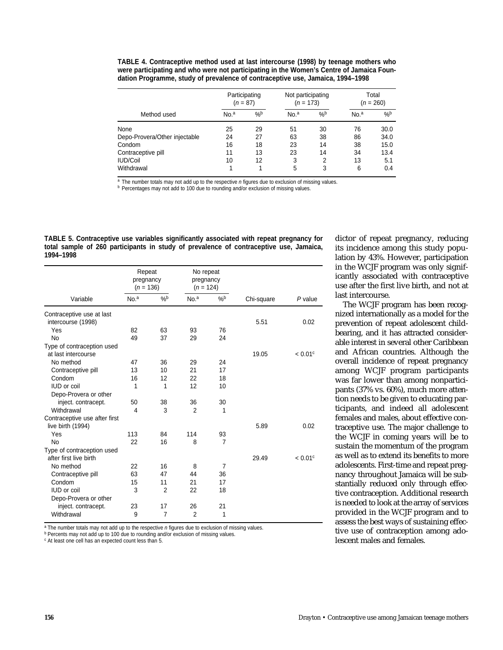**TABLE 4. Contraceptive method used at last intercourse (1998) by teenage mothers who were participating and who were not participating in the Women's Centre of Jamaica Foundation Programme, study of prevalence of contraceptive use, Jamaica, 1994–1998** 

|                               | Participating<br>$(n = 87)$ |               | Not participating<br>$(n = 173)$ |      | Total<br>$(n = 260)$ |      |
|-------------------------------|-----------------------------|---------------|----------------------------------|------|----------------------|------|
| Method used                   | No. <sup>a</sup>            | $\frac{9}{6}$ | No. <sup>a</sup>                 | $\%$ | No. <sup>a</sup>     | $\%$ |
| None                          | 25                          | 29            | 51                               | 30   | 76                   | 30.0 |
| Depo-Provera/Other injectable | 24                          | 27            | 63                               | 38   | 86                   | 34.0 |
| Condom                        | 16                          | 18            | 23                               | 14   | 38                   | 15.0 |
| Contraceptive pill            | 11                          | 13            | 23                               | 14   | 34                   | 13.4 |
| <b>IUD/Coil</b>               | 10                          | 12            | 3                                | 2    | 13                   | 5.1  |
| Withdrawal                    | 1                           | 1             | 5                                | 3    | 6                    | 0.4  |

 $a$  The number totals may not add up to the respective  $n$  figures due to exclusion of missing values.

**b** Percentages may not add to 100 due to rounding and/or exclusion of missing values.

**TABLE 5. Contraceptive use variables significantly associated with repeat pregnancy for total sample of 260 participants in study of prevalence of contraceptive use, Jamaica, 1994–1998**

|                               | Repeat<br>pregnancy<br>$(n = 136)$                            |                | No repeat<br>pregnancy<br>$(n = 124)$ |                |         |                       |
|-------------------------------|---------------------------------------------------------------|----------------|---------------------------------------|----------------|---------|-----------------------|
| Variable                      | $\%$<br>$\frac{9}{6}$<br>No. <sup>a</sup><br>No. <sup>a</sup> |                |                                       | Chi-square     | P value |                       |
| Contraceptive use at last     |                                                               |                |                                       |                |         |                       |
| intercourse (1998)            |                                                               |                |                                       |                | 5.51    | 0.02                  |
| Yes                           | 82                                                            | 63             | 93                                    | 76             |         |                       |
| No                            | 49                                                            | 37             | 29                                    | 24             |         |                       |
| Type of contraception used    |                                                               |                |                                       |                |         |                       |
| at last intercourse           |                                                               |                |                                       |                | 19.05   | $< 0.01$ <sup>c</sup> |
| No method                     | 47                                                            | 36             | 29                                    | 24             |         |                       |
| Contraceptive pill            | 13                                                            | 10             | 21                                    | 17             |         |                       |
| Condom                        | 16                                                            | 12             | 22                                    | 18             |         |                       |
| <b>IUD</b> or coil            | 1                                                             | 1              | 12                                    | 10             |         |                       |
| Depo-Provera or other         |                                                               |                |                                       |                |         |                       |
| inject. contracept.           | 50                                                            | 38             | 36                                    | 30             |         |                       |
| Withdrawal                    | 4                                                             | 3              | $\mathfrak{p}$                        | 1              |         |                       |
| Contraceptive use after first |                                                               |                |                                       |                |         |                       |
| live birth (1994)             |                                                               |                |                                       |                | 5.89    | 0.02                  |
| Yes                           | 113                                                           | 84             | 114                                   | 93             |         |                       |
| <b>No</b>                     | 22                                                            | 16             | 8                                     | $\overline{7}$ |         |                       |
| Type of contraception used    |                                                               |                |                                       |                |         |                       |
| after first live birth        |                                                               |                |                                       |                | 29.49   | $< 0.01$ <sup>c</sup> |
| No method                     | 22                                                            | 16             | 8                                     | 7              |         |                       |
| Contraceptive pill            | 63                                                            | 47             | 44                                    | 36             |         |                       |
| Condom                        | 15                                                            | 11             | 21                                    | 17             |         |                       |
| <b>IUD</b> or coil            | 3                                                             | $\overline{2}$ | 22                                    | 18             |         |                       |
| Depo-Provera or other         |                                                               |                |                                       |                |         |                       |
| inject. contracept.           | 23                                                            | 17             | 26                                    | 21             |         |                       |
| Withdrawal                    | 9                                                             | $\overline{7}$ | $\overline{2}$                        | 1              |         |                       |

 $\overline{a}$  The number totals may not add up to the respective *n* figures due to exclusion of missing values.

**b Percents may not add up to 100 due to rounding and/or exclusion of missing values.** 

<sup>c</sup> At least one cell has an expected count less than 5.

dictor of repeat pregnancy, reducing its incidence among this study population by 43%. However, participation in the WCJF program was only significantly associated with contraceptive use after the first live birth, and not at last intercourse.

The WCJF program has been recognized internationally as a model for the prevention of repeat adolescent childbearing, and it has attracted considerable interest in several other Caribbean and African countries. Although the overall incidence of repeat pregnancy among WCJF program participants was far lower than among nonparticipants (37% vs. 60%), much more attention needs to be given to educating participants, and indeed all adolescent females and males, about effective contraceptive use. The major challenge to the WCJF in coming years will be to sustain the momentum of the program as well as to extend its benefits to more adolescents. First-time and repeat pregnancy throughout Jamaica will be substantially reduced only through effective contraception. Additional research is needed to look at the array of services provided in the WCJF program and to assess the best ways of sustaining effective use of contraception among adolescent males and females.